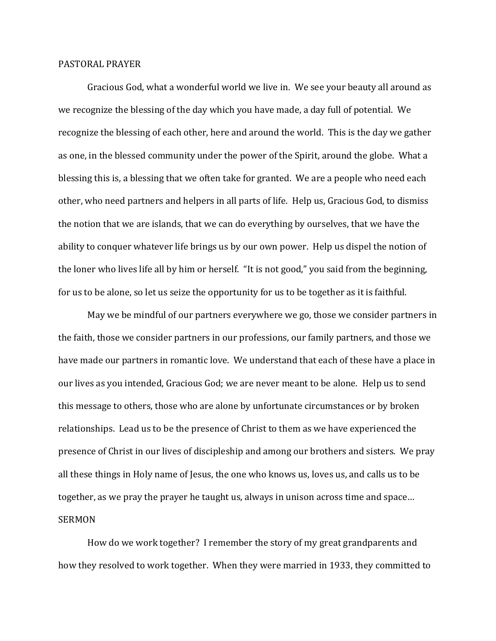## PASTORAL PRAYER

Gracious God, what a wonderful world we live in. We see your beauty all around as we recognize the blessing of the day which you have made, a day full of potential. We recognize the blessing of each other, here and around the world. This is the day we gather as one, in the blessed community under the power of the Spirit, around the globe. What a blessing this is, a blessing that we often take for granted. We are a people who need each other, who need partners and helpers in all parts of life. Help us, Gracious God, to dismiss the notion that we are islands, that we can do everything by ourselves, that we have the ability to conquer whatever life brings us by our own power. Help us dispel the notion of the loner who lives life all by him or herself. "It is not good," you said from the beginning, for us to be alone, so let us seize the opportunity for us to be together as it is faithful.

May we be mindful of our partners everywhere we go, those we consider partners in the faith, those we consider partners in our professions, our family partners, and those we have made our partners in romantic love. We understand that each of these have a place in our lives as you intended, Gracious God; we are never meant to be alone. Help us to send this message to others, those who are alone by unfortunate circumstances or by broken relationships. Lead us to be the presence of Christ to them as we have experienced the presence of Christ in our lives of discipleship and among our brothers and sisters. We pray all these things in Holy name of Jesus, the one who knows us, loves us, and calls us to be together, as we pray the prayer he taught us, always in unison across time and space… SERMON

How do we work together? I remember the story of my great grandparents and how they resolved to work together. When they were married in 1933, they committed to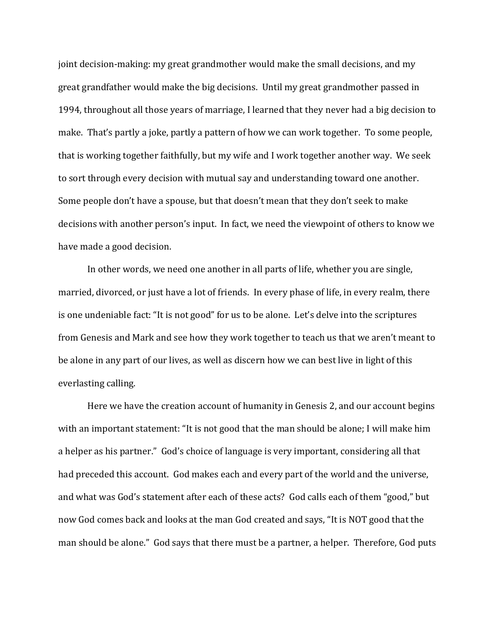joint decision-making: my great grandmother would make the small decisions, and my great grandfather would make the big decisions. Until my great grandmother passed in 1994, throughout all those years of marriage, I learned that they never had a big decision to make. That's partly a joke, partly a pattern of how we can work together. To some people, that is working together faithfully, but my wife and I work together another way. We seek to sort through every decision with mutual say and understanding toward one another. Some people don't have a spouse, but that doesn't mean that they don't seek to make decisions with another person's input. In fact, we need the viewpoint of others to know we have made a good decision.

In other words, we need one another in all parts of life, whether you are single, married, divorced, or just have a lot of friends. In every phase of life, in every realm, there is one undeniable fact: "It is not good" for us to be alone. Let's delve into the scriptures from Genesis and Mark and see how they work together to teach us that we aren't meant to be alone in any part of our lives, as well as discern how we can best live in light of this everlasting calling.

Here we have the creation account of humanity in Genesis 2, and our account begins with an important statement: "It is not good that the man should be alone; I will make him a helper as his partner." God's choice of language is very important, considering all that had preceded this account. God makes each and every part of the world and the universe, and what was God's statement after each of these acts? God calls each of them "good," but now God comes back and looks at the man God created and says, "It is NOT good that the man should be alone." God says that there must be a partner, a helper. Therefore, God puts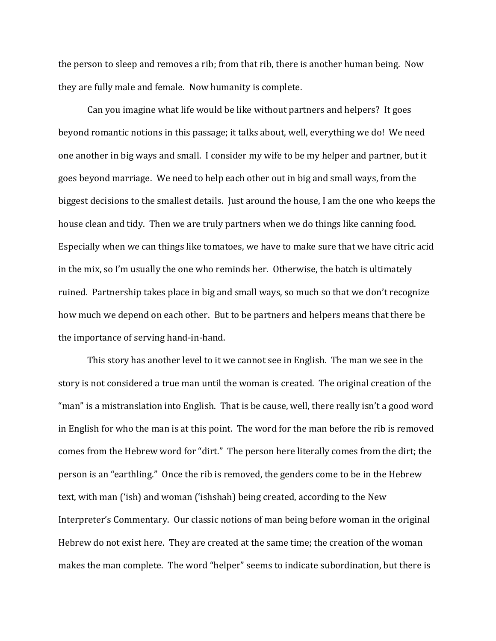the person to sleep and removes a rib; from that rib, there is another human being. Now they are fully male and female. Now humanity is complete.

Can you imagine what life would be like without partners and helpers? It goes beyond romantic notions in this passage; it talks about, well, everything we do! We need one another in big ways and small. I consider my wife to be my helper and partner, but it goes beyond marriage. We need to help each other out in big and small ways, from the biggest decisions to the smallest details. Just around the house, I am the one who keeps the house clean and tidy. Then we are truly partners when we do things like canning food. Especially when we can things like tomatoes, we have to make sure that we have citric acid in the mix, so I'm usually the one who reminds her. Otherwise, the batch is ultimately ruined. Partnership takes place in big and small ways, so much so that we don't recognize how much we depend on each other. But to be partners and helpers means that there be the importance of serving hand-in-hand.

This story has another level to it we cannot see in English. The man we see in the story is not considered a true man until the woman is created. The original creation of the "man" is a mistranslation into English. That is be cause, well, there really isn't a good word in English for who the man is at this point. The word for the man before the rib is removed comes from the Hebrew word for "dirt." The person here literally comes from the dirt; the person is an "earthling." Once the rib is removed, the genders come to be in the Hebrew text, with man ('ish) and woman ('ishshah) being created, according to the New Interpreter's Commentary. Our classic notions of man being before woman in the original Hebrew do not exist here. They are created at the same time; the creation of the woman makes the man complete. The word "helper" seems to indicate subordination, but there is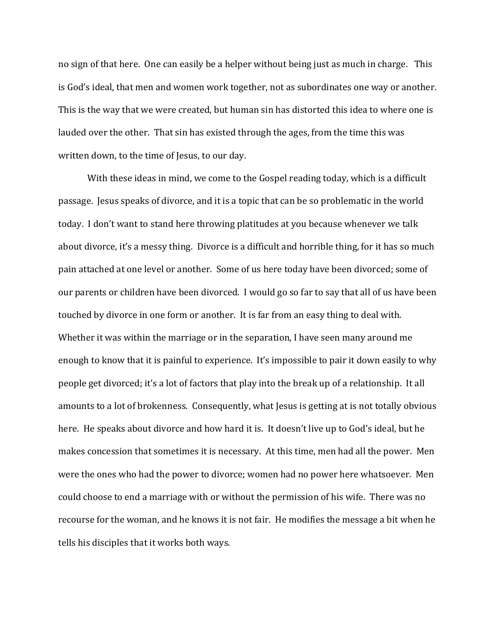no sign of that here. One can easily be a helper without being just as much in charge. This is God's ideal, that men and women work together, not as subordinates one way or another. This is the way that we were created, but human sin has distorted this idea to where one is lauded over the other. That sin has existed through the ages, from the time this was written down, to the time of Jesus, to our day.

With these ideas in mind, we come to the Gospel reading today, which is a difficult passage. Jesus speaks of divorce, and it is a topic that can be so problematic in the world today. I don't want to stand here throwing platitudes at you because whenever we talk about divorce, it's a messy thing. Divorce is a difficult and horrible thing, for it has so much pain attached at one level or another. Some of us here today have been divorced; some of our parents or children have been divorced. I would go so far to say that all of us have been touched by divorce in one form or another. It is far from an easy thing to deal with. Whether it was within the marriage or in the separation, I have seen many around me enough to know that it is painful to experience. It's impossible to pair it down easily to why people get divorced; it's a lot of factors that play into the break up of a relationship. It all amounts to a lot of brokenness. Consequently, what Jesus is getting at is not totally obvious here. He speaks about divorce and how hard it is. It doesn't live up to God's ideal, but he makes concession that sometimes it is necessary. At this time, men had all the power. Men were the ones who had the power to divorce; women had no power here whatsoever. Men could choose to end a marriage with or without the permission of his wife. There was no recourse for the woman, and he knows it is not fair. He modifies the message a bit when he tells his disciples that it works both ways.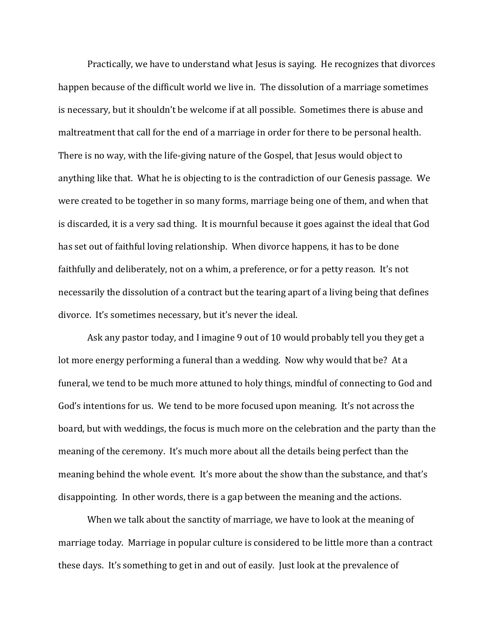Practically, we have to understand what Jesus is saying. He recognizes that divorces happen because of the difficult world we live in. The dissolution of a marriage sometimes is necessary, but it shouldn't be welcome if at all possible. Sometimes there is abuse and maltreatment that call for the end of a marriage in order for there to be personal health. There is no way, with the life-giving nature of the Gospel, that Jesus would object to anything like that. What he is objecting to is the contradiction of our Genesis passage. We were created to be together in so many forms, marriage being one of them, and when that is discarded, it is a very sad thing. It is mournful because it goes against the ideal that God has set out of faithful loving relationship. When divorce happens, it has to be done faithfully and deliberately, not on a whim, a preference, or for a petty reason. It's not necessarily the dissolution of a contract but the tearing apart of a living being that defines divorce. It's sometimes necessary, but it's never the ideal.

Ask any pastor today, and I imagine 9 out of 10 would probably tell you they get a lot more energy performing a funeral than a wedding. Now why would that be? At a funeral, we tend to be much more attuned to holy things, mindful of connecting to God and God's intentions for us. We tend to be more focused upon meaning. It's not across the board, but with weddings, the focus is much more on the celebration and the party than the meaning of the ceremony. It's much more about all the details being perfect than the meaning behind the whole event. It's more about the show than the substance, and that's disappointing. In other words, there is a gap between the meaning and the actions.

When we talk about the sanctity of marriage, we have to look at the meaning of marriage today. Marriage in popular culture is considered to be little more than a contract these days. It's something to get in and out of easily. Just look at the prevalence of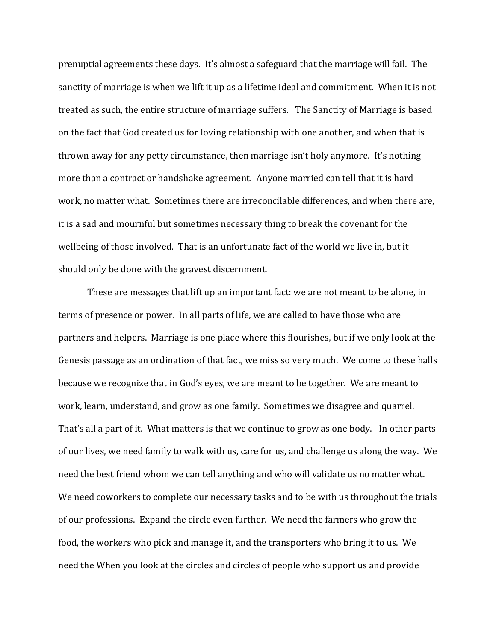prenuptial agreements these days. It's almost a safeguard that the marriage will fail. The sanctity of marriage is when we lift it up as a lifetime ideal and commitment. When it is not treated as such, the entire structure of marriage suffers. The Sanctity of Marriage is based on the fact that God created us for loving relationship with one another, and when that is thrown away for any petty circumstance, then marriage isn't holy anymore. It's nothing more than a contract or handshake agreement. Anyone married can tell that it is hard work, no matter what. Sometimes there are irreconcilable differences, and when there are, it is a sad and mournful but sometimes necessary thing to break the covenant for the wellbeing of those involved. That is an unfortunate fact of the world we live in, but it should only be done with the gravest discernment.

These are messages that lift up an important fact: we are not meant to be alone, in terms of presence or power. In all parts of life, we are called to have those who are partners and helpers. Marriage is one place where this flourishes, but if we only look at the Genesis passage as an ordination of that fact, we miss so very much. We come to these halls because we recognize that in God's eyes, we are meant to be together. We are meant to work, learn, understand, and grow as one family. Sometimes we disagree and quarrel. That's all a part of it. What matters is that we continue to grow as one body. In other parts of our lives, we need family to walk with us, care for us, and challenge us along the way. We need the best friend whom we can tell anything and who will validate us no matter what. We need coworkers to complete our necessary tasks and to be with us throughout the trials of our professions. Expand the circle even further. We need the farmers who grow the food, the workers who pick and manage it, and the transporters who bring it to us. We need the When you look at the circles and circles of people who support us and provide